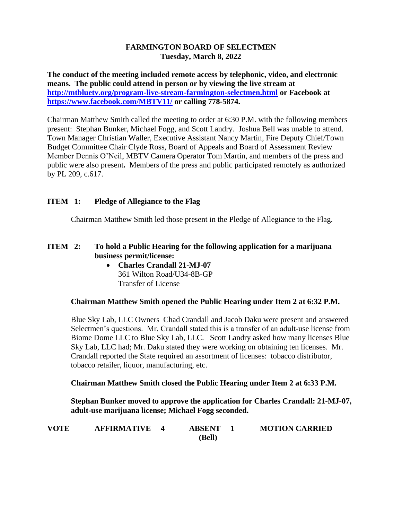#### **FARMINGTON BOARD OF SELECTMEN Tuesday, March 8, 2022**

**The conduct of the meeting included remote access by telephonic, video, and electronic means. The public could attend in person or by viewing the live stream at <http://mtbluetv.org/program-live-stream-farmington-selectmen.html> or Facebook at <https://www.facebook.com/MBTV11/> or calling 778-5874.**

Chairman Matthew Smith called the meeting to order at 6:30 P.M. with the following members present: Stephan Bunker, Michael Fogg, and Scott Landry. Joshua Bell was unable to attend. Town Manager Christian Waller, Executive Assistant Nancy Martin, Fire Deputy Chief/Town Budget Committee Chair Clyde Ross, Board of Appeals and Board of Assessment Review Member Dennis O'Neil, MBTV Camera Operator Tom Martin, and members of the press and public were also present**.** Members of the press and public participated remotely as authorized by PL 209, c.617.

## **ITEM 1: Pledge of Allegiance to the Flag**

Chairman Matthew Smith led those present in the Pledge of Allegiance to the Flag.

# **ITEM 2: To hold a Public Hearing for the following application for a marijuana business permit/license:**

• **Charles Crandall 21-MJ-07** 361 Wilton Road/U34-8B-GP Transfer of License

## **Chairman Matthew Smith opened the Public Hearing under Item 2 at 6:32 P.M.**

Blue Sky Lab, LLC Owners Chad Crandall and Jacob Daku were present and answered Selectmen's questions. Mr. Crandall stated this is a transfer of an adult-use license from Biome Dome LLC to Blue Sky Lab, LLC. Scott Landry asked how many licenses Blue Sky Lab, LLC had; Mr. Daku stated they were working on obtaining ten licenses. Mr. Crandall reported the State required an assortment of licenses: tobacco distributor, tobacco retailer, liquor, manufacturing, etc.

## **Chairman Matthew Smith closed the Public Hearing under Item 2 at 6:33 P.M.**

**Stephan Bunker moved to approve the application for Charles Crandall: 21-MJ-07, adult-use marijuana license; Michael Fogg seconded.**

| <b>VOTE</b> | <b>AFFIRMATIVE</b> | <b>ABSENT</b> | <b>MOTION CARRIED</b> |
|-------------|--------------------|---------------|-----------------------|
|             |                    | (Bell)        |                       |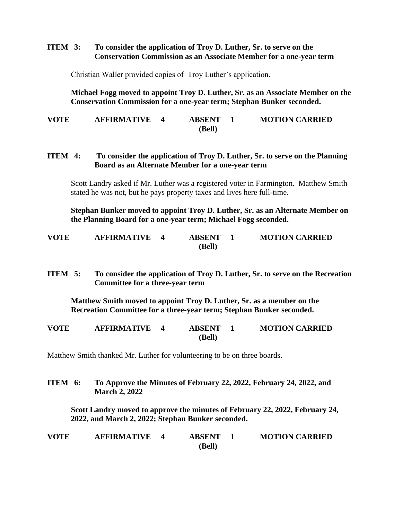#### **ITEM 3: To consider the application of Troy D. Luther, Sr. to serve on the Conservation Commission as an Associate Member for a one-year term**

Christian Waller provided copies of Troy Luther's application.

**Michael Fogg moved to appoint Troy D. Luther, Sr. as an Associate Member on the Conservation Commission for a one-year term; Stephan Bunker seconded.**

**VOTE AFFIRMATIVE 4 ABSENT 1 MOTION CARRIED (Bell)**

#### **ITEM 4: To consider the application of Troy D. Luther, Sr. to serve on the Planning Board as an Alternate Member for a one-year term**

Scott Landry asked if Mr. Luther was a registered voter in Farmington. Matthew Smith stated he was not, but he pays property taxes and lives here full-time.

**Stephan Bunker moved to appoint Troy D. Luther, Sr. as an Alternate Member on the Planning Board for a one-year term; Michael Fogg seconded.**

| <b>VOTE</b> | <b>AFFIRMATIVE</b> | <b>ABSENT</b> | <b>MOTION CARRIED</b> |
|-------------|--------------------|---------------|-----------------------|
|             |                    | (Bell)        |                       |

**ITEM 5: To consider the application of Troy D. Luther, Sr. to serve on the Recreation Committee for a three-year term** 

**Matthew Smith moved to appoint Troy D. Luther, Sr. as a member on the Recreation Committee for a three-year term; Stephan Bunker seconded.**

| <b>VOTE</b> | <b>AFFIRMATIVE</b> | <b>ABSENT</b> | <b>MOTION CARRIED</b> |
|-------------|--------------------|---------------|-----------------------|
|             |                    | (Bell)        |                       |

Matthew Smith thanked Mr. Luther for volunteering to be on three boards.

**ITEM 6: To Approve the Minutes of February 22, 2022, February 24, 2022, and March 2, 2022**

**Scott Landry moved to approve the minutes of February 22, 2022, February 24, 2022, and March 2, 2022; Stephan Bunker seconded.**

| <b>VOTE</b> | <b>AFFIRMATIVE</b> | <b>ABSENT</b> | <b>MOTION CARRIED</b> |
|-------------|--------------------|---------------|-----------------------|
|             |                    | (Bell)        |                       |